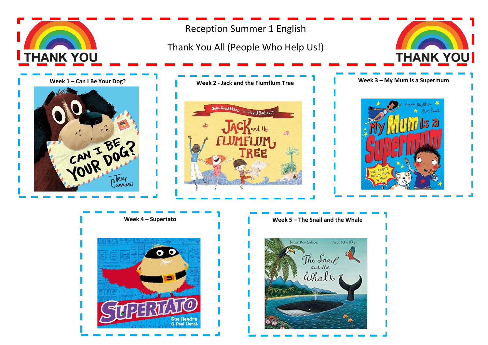

# Reception Summer 1 English

## Thank You All (People Who Help Us!)